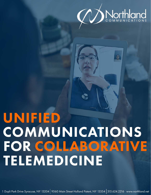

# UNIFIED COMMUNICATIONS FOR COLLABORATIVE TELEMEDICINE

1 Dupli Park Drive Syracuse, NY 13204 9560 Main Street Holland Patent, NY 13354 315.624.2216 www.northland.net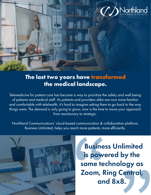

### **The last two years have transformed the medical landscape.**

Telemedicine for patient care has become a way to prioritize the safety and well-being of patients and medical staff. As patients and providers alike are now more familiar and comfortable with telehealth, it's hard to imagine asking them to go back to the way things were. The demand is only going to grow; now is the time to move your approach from reactionary to strategic.

Northland Communications' cloud-based communication & collaboration platform, Business Unlimited, helps you reach more patients, more efficiently.



Busines<br>
is powe<br>
same tec<br>
Zoom, Ri<br>
and Central,<br><8. is powered by the same technology as Zoom, Ring Central, and 8x8. Business Unlimited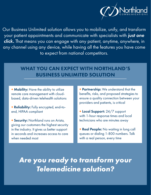

Our Business Unlimited solution allows you to mobilize, unify, and transform your patient appointments and communicate with specialists with *just one click.* That means you can engage with any patient, anytime, anywhere, in any channel using any device, while having all the features you have come to expect from national competitors.

#### WHAT YOU CAN EXPECT WITH NORTHLAND'S BUSINESS UNLIMITED SOLUTION

+ Mobility: Have the ability to utilize remote care management with cloudbased, data-driven telehealth solutions

+ Reliability: Fully encrypted, end-toend, HIPAA compliant

+ Security: Northland runs on Arista, giving our customers the highest security in the industry. It gives us better support in seconds and increases access to care when needed most

+ Partnership: We understand that the benefits, risks, and proposed strategies to ensure a quality connection between your providers and patients, is critical

+ Local Support: 24/7 support with 1-hour response times and local technicians who are minutes away

+ Real People: No waiting in long call queues or dialing 1-800 numbers. Talk with a real person, every time

*Are you ready to transform your Telemedicine solution?*